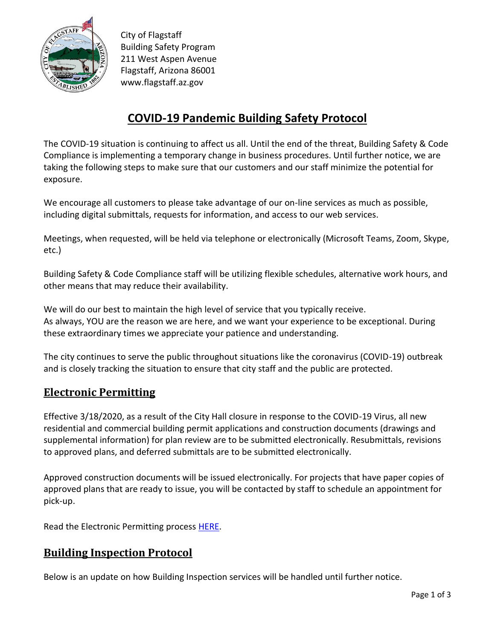

City of Flagstaff Building Safety Program 211 West Aspen Avenue Flagstaff, Arizona 86001 www.flagstaff.az.gov

# **COVID-19 Pandemic Building Safety Protocol**

The COVID-19 situation is continuing to affect us all. Until the end of the threat, Building Safety & Code Compliance is implementing a temporary change in business procedures. Until further notice, we are taking the following steps to make sure that our customers and our staff minimize the potential for exposure.

We encourage all customers to please take advantage of our on-line services as much as possible, including digital submittals, requests for information, and access to our web services.

Meetings, when requested, will be held via telephone or electronically (Microsoft Teams, Zoom, Skype, etc.)

Building Safety & Code Compliance staff will be utilizing flexible schedules, alternative work hours, and other means that may reduce their availability.

We will do our best to maintain the high level of service that you typically receive. As always, YOU are the reason we are here, and we want your experience to be exceptional. During these extraordinary times we appreciate your patience and understanding.

The city continues to serve the public throughout situations like the coronavirus (COVID-19) outbreak and is closely tracking the situation to ensure that city staff and the public are protected.

# **Electronic Permitting**

Effective 3/18/2020, as a result of the City Hall closure in response to the COVID-19 Virus, all new residential and commercial building permit applications and construction documents (drawings and supplemental information) for plan review are to be submitted electronically. Resubmittals, revisions to approved plans, and deferred submittals are to be submitted electronically.

Approved construction documents will be issued electronically. For projects that have paper copies of approved plans that are ready to issue, you will be contacted by staff to schedule an appointment for pick-up.

Read the Electronic Permitting process **HERE**.

# **Building Inspection Protocol**

Below is an update on how Building Inspection services will be handled until further notice.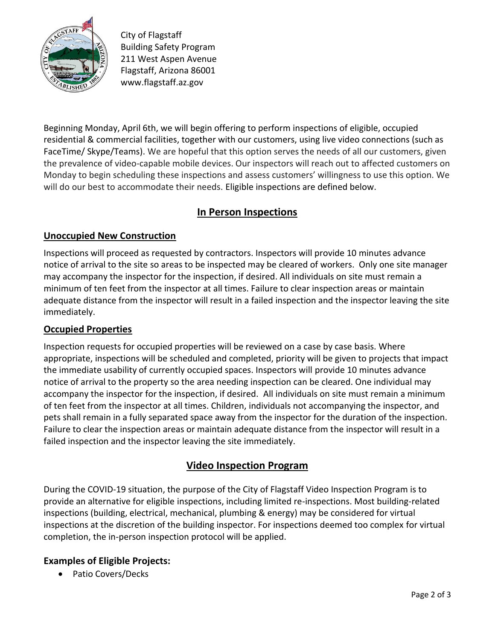

City of Flagstaff Building Safety Program 211 West Aspen Avenue Flagstaff, Arizona 86001 www.flagstaff.az.gov

Beginning Monday, April 6th, we will begin offering to perform inspections of eligible, occupied residential & commercial facilities, together with our customers, using live video connections (such as FaceTime/ Skype/Teams). We are hopeful that this option serves the needs of all our customers, given the prevalence of video-capable mobile devices. Our inspectors will reach out to affected customers on Monday to begin scheduling these inspections and assess customers' willingness to use this option. We will do our best to accommodate their needs. Eligible inspections are defined below.

## **In Person Inspections**

### **Unoccupied New Construction**

Inspections will proceed as requested by contractors. Inspectors will provide 10 minutes advance notice of arrival to the site so areas to be inspected may be cleared of workers. Only one site manager may accompany the inspector for the inspection, if desired. All individuals on site must remain a minimum of ten feet from the inspector at all times. Failure to clear inspection areas or maintain adequate distance from the inspector will result in a failed inspection and the inspector leaving the site immediately.

### **Occupied Properties**

Inspection requests for occupied properties will be reviewed on a case by case basis. Where appropriate, inspections will be scheduled and completed, priority will be given to projects that impact the immediate usability of currently occupied spaces. Inspectors will provide 10 minutes advance notice of arrival to the property so the area needing inspection can be cleared. One individual may accompany the inspector for the inspection, if desired. All individuals on site must remain a minimum of ten feet from the inspector at all times. Children, individuals not accompanying the inspector, and pets shall remain in a fully separated space away from the inspector for the duration of the inspection. Failure to clear the inspection areas or maintain adequate distance from the inspector will result in a failed inspection and the inspector leaving the site immediately.

## **Video Inspection Program**

During the COVID-19 situation, the purpose of the City of Flagstaff Video Inspection Program is to provide an alternative for eligible inspections, including limited re-inspections. Most building-related inspections (building, electrical, mechanical, plumbing & energy) may be considered for virtual inspections at the discretion of the building inspector. For inspections deemed too complex for virtual completion, the in-person inspection protocol will be applied.

#### **Examples of Eligible Projects:**

• Patio Covers/Decks